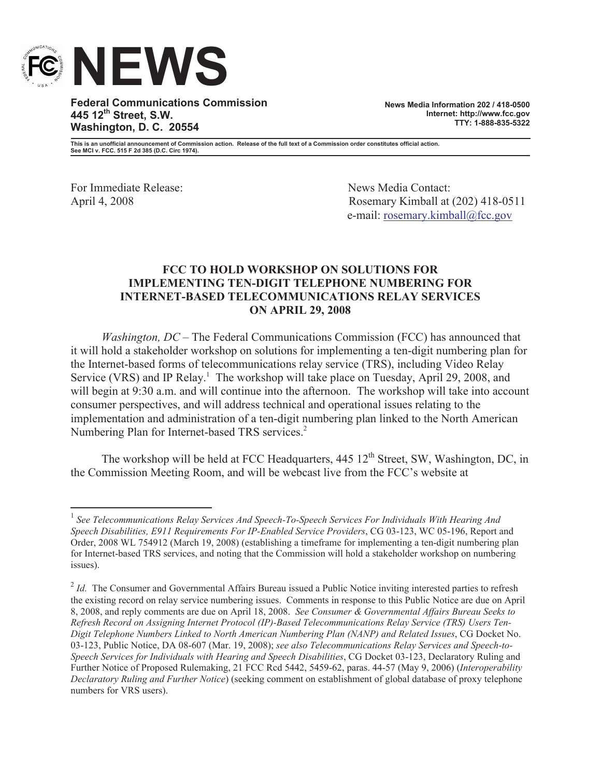

**Federal Communications Commission 445 12th Street, S.W. Washington, D. C. 20554**

**News Media Information 202 / 418-0500 Internet: http://www.fcc.gov TTY: 1-888-835-5322**

**This is an unofficial announcement of Commission action. Release of the full text of a Commission order constitutes official action. See MCI v. FCC. 515 F 2d 385 (D.C. Circ 1974).**

For Immediate Release: News Media Contact:

April 4, 2008 Rosemary Kimball at (202) 418-0511 e-mail: rosemary.kimball@fcc.gov

## **FCC TO HOLD WORKSHOP ON SOLUTIONS FOR IMPLEMENTING TEN-DIGIT TELEPHONE NUMBERING FOR INTERNET-BASED TELECOMMUNICATIONS RELAY SERVICES ON APRIL 29, 2008**

*Washington, DC* – The Federal Communications Commission (FCC) has announced that it will hold a stakeholder workshop on solutions for implementing a ten-digit numbering plan for the Internet-based forms of telecommunications relay service (TRS), including Video Relay Service (VRS) and IP Relay.<sup>1</sup> The workshop will take place on Tuesday, April 29, 2008, and will begin at 9:30 a.m. and will continue into the afternoon. The workshop will take into account consumer perspectives, and will address technical and operational issues relating to the implementation and administration of a ten-digit numbering plan linked to the North American Numbering Plan for Internet-based TRS services.<sup>2</sup>

The workshop will be held at FCC Headquarters,  $445 \frac{12^{th}}{3}$  Street, SW, Washington, DC, in the Commission Meeting Room, and will be webcast live from the FCC's website at

<sup>&</sup>lt;sup>1</sup> See Telecommunications Relay Services And Speech-To-Speech Services For Individuals With Hearing And *Speech Disabilities, E911 Requirements For IP-Enabled Service Providers*, CG 03-123, WC 05-196, Report and Order, 2008 WL 754912 (March 19, 2008) (establishing a timeframe for implementing a ten-digit numbering plan for Internet-based TRS services, and noting that the Commission will hold a stakeholder workshop on numbering issues).

<sup>&</sup>lt;sup>2</sup> *Id.* The Consumer and Governmental Affairs Bureau issued a Public Notice inviting interested parties to refresh the existing record on relay service numbering issues. Comments in response to this Public Notice are due on April 8, 2008, and reply comments are due on April 18, 2008. *See Consumer & Governmental Affairs Bureau Seeks to Refresh Record on Assigning Internet Protocol (IP)-Based Telecommunications Relay Service (TRS) Users Ten-Digit Telephone Numbers Linked to North American Numbering Plan (NANP) and Related Issues*, CG Docket No. 03-123, Public Notice, DA 08-607 (Mar. 19, 2008); *see also Telecommunications Relay Services and Speech-to-Speech Services for Individuals with Hearing and Speech Disabilities*, CG Docket 03-123, Declaratory Ruling and Further Notice of Proposed Rulemaking, 21 FCC Rcd 5442, 5459-62, paras. 44-57 (May 9, 2006) (*Interoperability Declaratory Ruling and Further Notice*) (seeking comment on establishment of global database of proxy telephone numbers for VRS users).